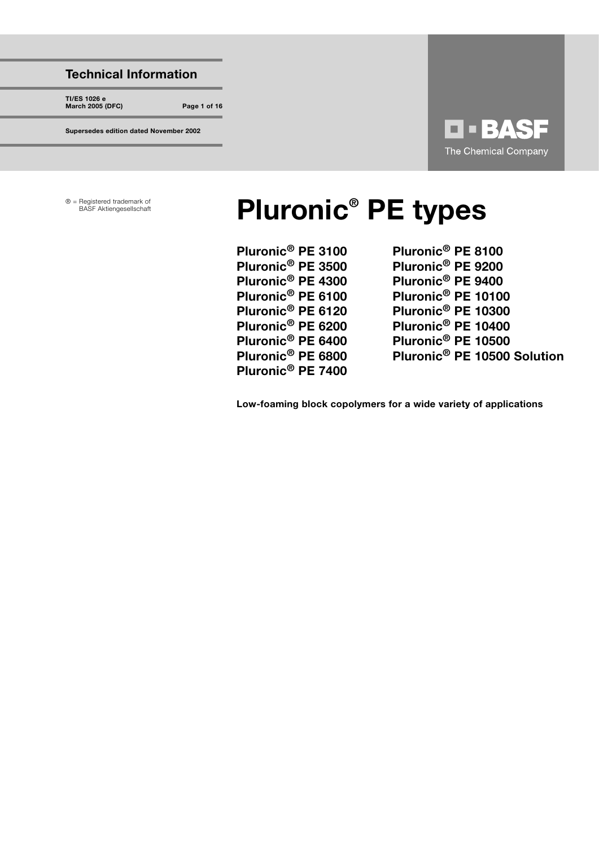# Technical Information

TI/ES 1026 e March 2005 (DFC) Page 1 of 16

Supersedes edition dated November 2002

**Q - BASF** The Chemical Company

® = Registered trademark of

# Registered trademark of **Pluronic<sup>®</sup> PE types**

| Pluronic <sup>®</sup> PE 3100 | Pluronic <sup>®</sup> PE 8100           |
|-------------------------------|-----------------------------------------|
| Pluronic <sup>®</sup> PE 3500 | Pluronic <sup>®</sup> PE 9200           |
| Pluronic <sup>®</sup> PE 4300 | Pluronic <sup>®</sup> PE 9400           |
| Pluronic <sup>®</sup> PE 6100 | Pluronic <sup>®</sup> PE 10100          |
| Pluronic <sup>®</sup> PE 6120 | Pluronic <sup>®</sup> PE 10300          |
| Pluronic <sup>®</sup> PE 6200 | Pluronic <sup>®</sup> PE 10400          |
| Pluronic <sup>®</sup> PE 6400 | Pluronic <sup>®</sup> PE 10500          |
| Pluronic <sup>®</sup> PE 6800 | Pluronic <sup>®</sup> PE 10500 Solution |
| Pluronic <sup>®</sup> PE 7400 |                                         |

Low-foaming block copolymers for a wide variety of applications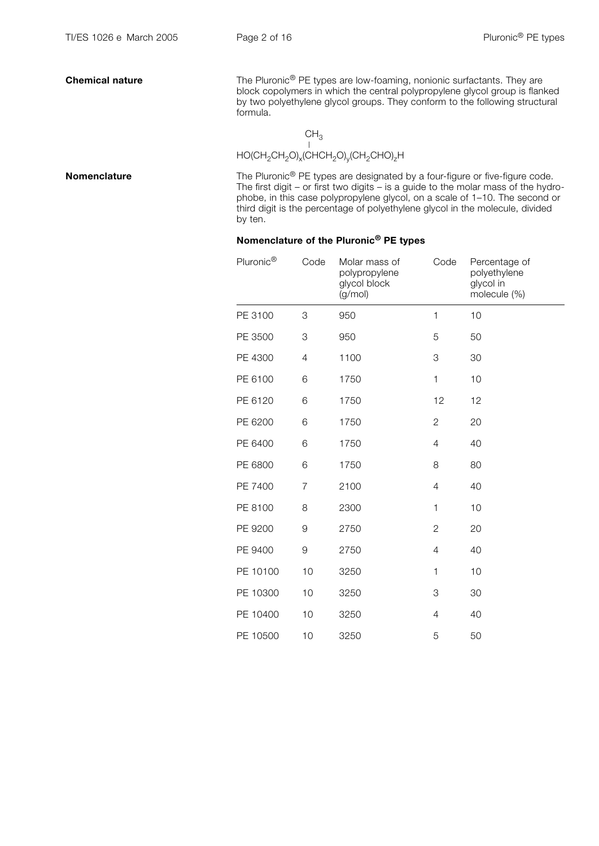**Chemical nature** The Pluronic<sup>®</sup> PE types are low-foaming, nonionic surfactants. They are block copolymers in which the central polypropylene glycol group is flanked by two polyethylene glycol groups. They conform to the following structural formula.

CH3 HO(CH2CH2O)x(CHCH2O)y(CH2CHO)zH

**Nomenclature** The Pluronic<sup>®</sup> PE types are designated by a four-figure or five-figure code. The first digit – or first two digits – is a guide to the molar mass of the hydrophobe, in this case polypropylene glycol, on a scale of 1–10. The second or third digit is the percentage of polyethylene glycol in the molecule, divided by ten.

### Nomenclature of the Pluronic® PE types

| Pluronic <sup>®</sup> | Code           | Molar mass of<br>polypropylene<br>glycol block<br>(g/mol) | Code           | Percentage of<br>polyethylene<br>glycol in<br>molecule (%) |
|-----------------------|----------------|-----------------------------------------------------------|----------------|------------------------------------------------------------|
| PE 3100               | 3              | 950                                                       | 1              | 10                                                         |
| PE 3500               | 3              | 950                                                       | 5              | 50                                                         |
| PE 4300               | $\overline{4}$ | 1100                                                      | 3              | 30                                                         |
| PE 6100               | 6              | 1750                                                      | $\mathbf{1}$   | 10                                                         |
| PE 6120               | 6              | 1750                                                      | 12             | 12                                                         |
| PE 6200               | 6              | 1750                                                      | $\mathbf{2}$   | 20                                                         |
| PE 6400               | 6              | 1750                                                      | $\overline{4}$ | 40                                                         |
| PE 6800               | 6              | 1750                                                      | 8              | 80                                                         |
| PE 7400               | $\overline{7}$ | 2100                                                      | 4              | 40                                                         |
| PE 8100               | 8              | 2300                                                      | $\mathbf{1}$   | 10                                                         |
| PE 9200               | 9              | 2750                                                      | $\mathbf{2}$   | 20                                                         |
| PE 9400               | 9              | 2750                                                      | 4              | 40                                                         |
| PE 10100              | 10             | 3250                                                      | 1              | 10                                                         |
| PE 10300              | 10             | 3250                                                      | 3              | 30                                                         |
| PE 10400              | 10             | 3250                                                      | $\overline{4}$ | 40                                                         |
| PE 10500              | 10             | 3250                                                      | 5              | 50                                                         |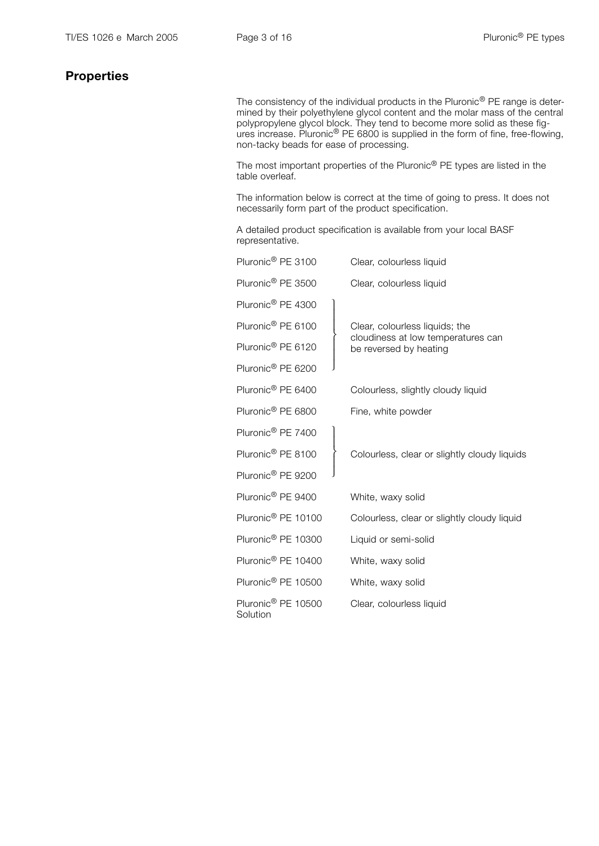## **Properties**

The consistency of the individual products in the Pluronic<sup>®</sup> PE range is determined by their polyethylene glycol content and the molar mass of the central polypropylene glycol block. They tend to become more solid as these figures increase. Pluronic<sup>®</sup> PE 6800 is supplied in the form of fine, free-flowing, non-tacky beads for ease of processing.

 The most important properties of the Pluronic® PE types are listed in the table overleaf.

 The information below is correct at the time of going to press. It does not necessarily form part of the product specification.

 A detailed product specification is available from your local BASF representative.

| Pluronic <sup>®</sup> PE 3100              | Clear, colourless liquid                                     |
|--------------------------------------------|--------------------------------------------------------------|
| Pluronic <sup>®</sup> PE 3500              | Clear, colourless liquid                                     |
| Pluronic <sup>®</sup> PE 4300              |                                                              |
| Pluronic <sup>®</sup> PE 6100              | Clear, colourless liquids; the                               |
| Pluronic <sup>®</sup> PE 6120              | cloudiness at low temperatures can<br>be reversed by heating |
| Pluronic <sup>®</sup> PE 6200              |                                                              |
| Pluronic <sup>®</sup> PE 6400              | Colourless, slightly cloudy liquid                           |
| Pluronic <sup>®</sup> PE 6800              | Fine, white powder                                           |
| Pluronic <sup>®</sup> PE 7400              |                                                              |
| Pluronic <sup>®</sup> PE 8100              | Colourless, clear or slightly cloudy liquids                 |
| Pluronic <sup>®</sup> PE 9200              |                                                              |
| Pluronic <sup>®</sup> PE 9400              | White, waxy solid                                            |
| Pluronic <sup>®</sup> PE 10100             | Colourless, clear or slightly cloudy liquid                  |
| Pluronic <sup>®</sup> PE 10300             | Liquid or semi-solid                                         |
| Pluronic <sup>®</sup> PE 10400             | White, waxy solid                                            |
| Pluronic <sup>®</sup> PE 10500             | White, waxy solid                                            |
| Pluronic <sup>®</sup> PE 10500<br>Solution | Clear, colourless liquid                                     |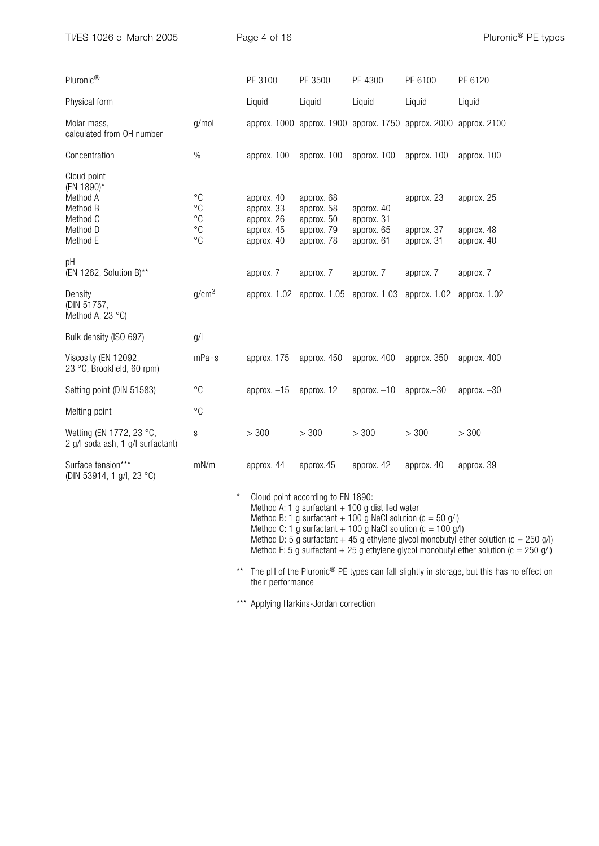| Pluronic®                                                                             |                                                                                                                                                                                                                                                                                                                                                                                                                     | PE 3100                                                            | PE 3500                                                            | PE 4300                                              | PE 6100                                | PE 6120                                |
|---------------------------------------------------------------------------------------|---------------------------------------------------------------------------------------------------------------------------------------------------------------------------------------------------------------------------------------------------------------------------------------------------------------------------------------------------------------------------------------------------------------------|--------------------------------------------------------------------|--------------------------------------------------------------------|------------------------------------------------------|----------------------------------------|----------------------------------------|
| Physical form                                                                         |                                                                                                                                                                                                                                                                                                                                                                                                                     | Liquid                                                             | Liquid                                                             | Liquid                                               | Liquid                                 | Liquid                                 |
| Molar mass,<br>calculated from OH number                                              | g/mol                                                                                                                                                                                                                                                                                                                                                                                                               |                                                                    | approx. 1000 approx. 1900 approx. 1750 approx. 2000 approx. 2100   |                                                      |                                        |                                        |
| Concentration                                                                         | $\%$                                                                                                                                                                                                                                                                                                                                                                                                                | approx. 100                                                        | approx. 100                                                        | approx. 100                                          | approx. 100                            | approx. 100                            |
| Cloud point<br>(EN 1890)*<br>Method A<br>Method B<br>Method C<br>Method D<br>Method E | $^{\circ}C$<br>$^{\circ}C$<br>$^{\circ}C$<br>$^{\circ}C$<br>$^{\circ}C$                                                                                                                                                                                                                                                                                                                                             | approx. 40<br>approx. 33<br>approx. 26<br>approx. 45<br>approx. 40 | approx. 68<br>approx. 58<br>approx. 50<br>approx. 79<br>approx. 78 | approx. 40<br>approx. 31<br>approx. 65<br>approx. 61 | approx. 23<br>approx. 37<br>approx. 31 | approx. 25<br>approx. 48<br>approx. 40 |
| рH<br>(EN 1262, Solution B)**                                                         |                                                                                                                                                                                                                                                                                                                                                                                                                     | approx. 7                                                          | approx. 7                                                          | approx. 7                                            | approx. 7                              | approx. 7                              |
| Density<br>(DIN 51757,<br>Method A, 23 °C)                                            | g/cm <sup>3</sup>                                                                                                                                                                                                                                                                                                                                                                                                   |                                                                    | approx. 1.02 approx. 1.05 approx. 1.03 approx. 1.02                |                                                      |                                        | approx. 1.02                           |
| Bulk density (ISO 697)                                                                | g/                                                                                                                                                                                                                                                                                                                                                                                                                  |                                                                    |                                                                    |                                                      |                                        |                                        |
| Viscosity (EN 12092,<br>23 °C, Brookfield, 60 rpm)                                    | mPa·s                                                                                                                                                                                                                                                                                                                                                                                                               | approx. 175                                                        | approx. 450                                                        | approx. 400                                          | approx. 350                            | approx. 400                            |
| Setting point (DIN 51583)                                                             | $^{\circ}C$                                                                                                                                                                                                                                                                                                                                                                                                         | approx. $-15$                                                      | approx. 12                                                         | approx. $-10$                                        | $approx. -30$                          | approx. $-30$                          |
| Melting point                                                                         | $^{\circ}C$                                                                                                                                                                                                                                                                                                                                                                                                         |                                                                    |                                                                    |                                                      |                                        |                                        |
| Wetting (EN 1772, 23 °C,<br>2 g/l soda ash, 1 g/l surfactant)                         | $\mathbb S$                                                                                                                                                                                                                                                                                                                                                                                                         | > 300                                                              | > 300                                                              | > 300                                                | > 300                                  | > 300                                  |
| Surface tension***<br>(DIN 53914, 1 g/l, 23 °C)                                       | mN/m                                                                                                                                                                                                                                                                                                                                                                                                                | approx. 44                                                         | approx.45                                                          | approx. 42                                           | approx. 40                             | approx. 39                             |
|                                                                                       | Cloud point according to EN 1890:<br>Method A: 1 g surfactant $+$ 100 g distilled water<br>Method B: 1 g surfactant $+$ 100 g NaCl solution (c = 50 g/l)<br>Method C: 1 g surfactant $+$ 100 g NaCl solution (c = 100 g/l)<br>Method D: 5 g surfactant $+ 45$ g ethylene glycol monobutyl ether solution (c = 250 g/l)<br>Method E: 5 g surfactant + 25 g ethylene glycol monobutyl ether solution ( $c = 250$ g/l) |                                                                    |                                                                    |                                                      |                                        |                                        |

\*\* The pH of the Pluronic<sup>®</sup> PE types can fall slightly in storage, but this has no effect on their performance

\*\*\* Applying Harkins-Jordan correction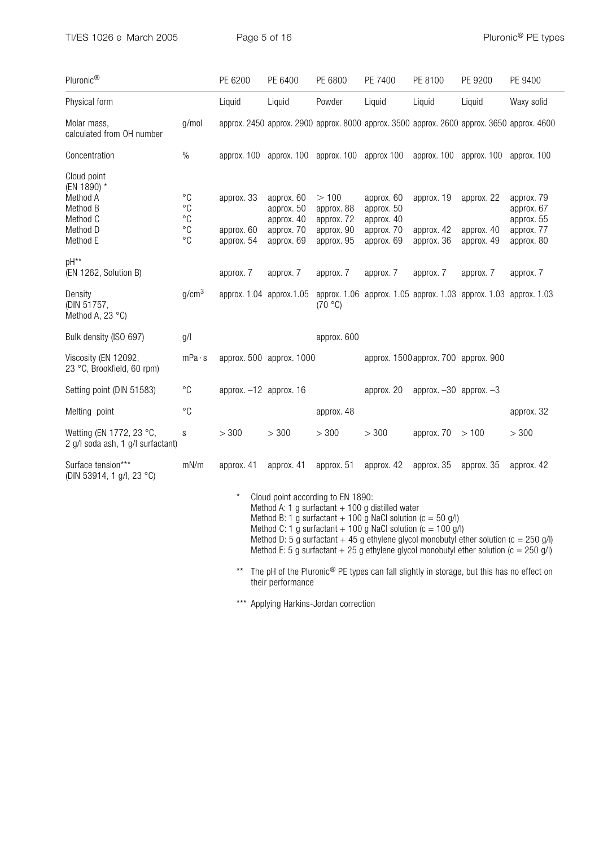TI/ES 1026 e March 2005 Page 5 of 16 Pluronic® PE types

| Pluronic <sup>®</sup>                                                                                                                                                                                                                                                                                                                                                                                                               |                                                                                     | PE 6200                                | PE 6400                                                            | PE 6800                                                      | PE 7400                                                            | PE 8100                                | PE 9200                                                                            | PE 9400                                                                                    |
|-------------------------------------------------------------------------------------------------------------------------------------------------------------------------------------------------------------------------------------------------------------------------------------------------------------------------------------------------------------------------------------------------------------------------------------|-------------------------------------------------------------------------------------|----------------------------------------|--------------------------------------------------------------------|--------------------------------------------------------------|--------------------------------------------------------------------|----------------------------------------|------------------------------------------------------------------------------------|--------------------------------------------------------------------------------------------|
| Physical form                                                                                                                                                                                                                                                                                                                                                                                                                       |                                                                                     | Liquid                                 | Liquid                                                             | Powder                                                       | Liquid                                                             | Liquid                                 | Liquid                                                                             | Waxy solid                                                                                 |
| Molar mass,<br>calculated from OH number                                                                                                                                                                                                                                                                                                                                                                                            | g/mol                                                                               |                                        |                                                                    |                                                              |                                                                    |                                        |                                                                                    | approx. 2450 approx. 2900 approx. 8000 approx. 3500 approx. 2600 approx. 3650 approx. 4600 |
| Concentration                                                                                                                                                                                                                                                                                                                                                                                                                       | $\%$                                                                                |                                        |                                                                    |                                                              |                                                                    |                                        | approx. 100 approx. 100 approx. 100 approx 100 approx. 100 approx. 100 approx. 100 |                                                                                            |
| Cloud point<br>(EN 1890) *<br>Method A<br>Method B<br>Method C<br>Method D<br>Method E                                                                                                                                                                                                                                                                                                                                              | $^{\circ}C$<br>$^{\circ}C$<br>$^{\circ}C$<br>$^{\circ}{\rm C}$<br>$^{\circ}{\rm C}$ | approx. 33<br>approx. 60<br>approx. 54 | approx. 60<br>approx. 50<br>approx. 40<br>approx. 70<br>approx. 69 | >100<br>approx. 88<br>approx. 72<br>approx. 90<br>approx. 95 | approx. 60<br>approx. 50<br>approx. 40<br>approx. 70<br>approx. 69 | approx. 19<br>approx. 42<br>approx. 36 | approx. 22<br>approx. 40<br>approx. 49                                             | approx. 79<br>approx. 67<br>approx. 55<br>approx. 77<br>approx. 80                         |
| pH**<br>(EN 1262, Solution B)                                                                                                                                                                                                                                                                                                                                                                                                       |                                                                                     | approx. 7                              | approx. 7                                                          | approx. 7                                                    | approx. 7                                                          | approx. 7                              | approx. 7                                                                          | approx. 7                                                                                  |
| Density<br>(DIN 51757,<br>Method A, 23 °C)                                                                                                                                                                                                                                                                                                                                                                                          | g/cm <sup>3</sup>                                                                   | approx. 1.04 approx. 1.05              |                                                                    | (70 °C)                                                      |                                                                    |                                        | approx. 1.06 approx. 1.05 approx. 1.03 approx. 1.03 approx. 1.03                   |                                                                                            |
| Bulk density (ISO 697)                                                                                                                                                                                                                                                                                                                                                                                                              | g/                                                                                  |                                        |                                                                    | approx. 600                                                  |                                                                    |                                        |                                                                                    |                                                                                            |
| Viscosity (EN 12092,<br>23 °C, Brookfield, 60 rpm)                                                                                                                                                                                                                                                                                                                                                                                  | mPa·s                                                                               |                                        | approx. 500 approx. 1000                                           |                                                              |                                                                    | approx. 1500 approx. 700 approx. 900   |                                                                                    |                                                                                            |
| Setting point (DIN 51583)                                                                                                                                                                                                                                                                                                                                                                                                           | $^{\circ}C$                                                                         | approx. $-12$ approx. 16               |                                                                    |                                                              | approx. 20                                                         | approx. $-30$ approx. $-3$             |                                                                                    |                                                                                            |
| Melting point                                                                                                                                                                                                                                                                                                                                                                                                                       | $^{\circ}C$                                                                         |                                        |                                                                    | approx. 48                                                   |                                                                    |                                        |                                                                                    | approx. 32                                                                                 |
| Wetting (EN 1772, 23 °C,<br>2 g/l soda ash, 1 g/l surfactant)                                                                                                                                                                                                                                                                                                                                                                       | S                                                                                   | > 300                                  | > 300                                                              | > 300                                                        | > 300                                                              | approx. $70 > 100$                     |                                                                                    | > 300                                                                                      |
| Surface tension***<br>(DIN 53914, 1 g/l, 23 °C)                                                                                                                                                                                                                                                                                                                                                                                     | mN/m                                                                                | approx. 41                             | approx. 41                                                         | approx. 51                                                   | approx. 42 approx. 35                                              |                                        | approx. 35                                                                         | approx. 42                                                                                 |
| $^{\star}$<br>Cloud point according to EN 1890:<br>Method A: 1 g surfactant $+$ 100 g distilled water<br>Method B: 1 g surfactant $+$ 100 g NaCl solution (c = 50 g/l)<br>Method C: 1 g surfactant + 100 g NaCl solution ( $c = 100$ g/l)<br>Method D: 5 g surfactant + 45 g ethylene glycol monobutyl ether solution ( $c = 250$ g/l)<br>Method E: 5 g surfactant + 25 g ethylene glycol monobutyl ether solution ( $c = 250$ g/l) |                                                                                     |                                        |                                                                    |                                                              |                                                                    |                                        |                                                                                    |                                                                                            |

\*\* The pH of the Pluronic<sup>®</sup> PE types can fall slightly in storage, but this has no effect on their performance

\*\*\* Applying Harkins-Jordan correction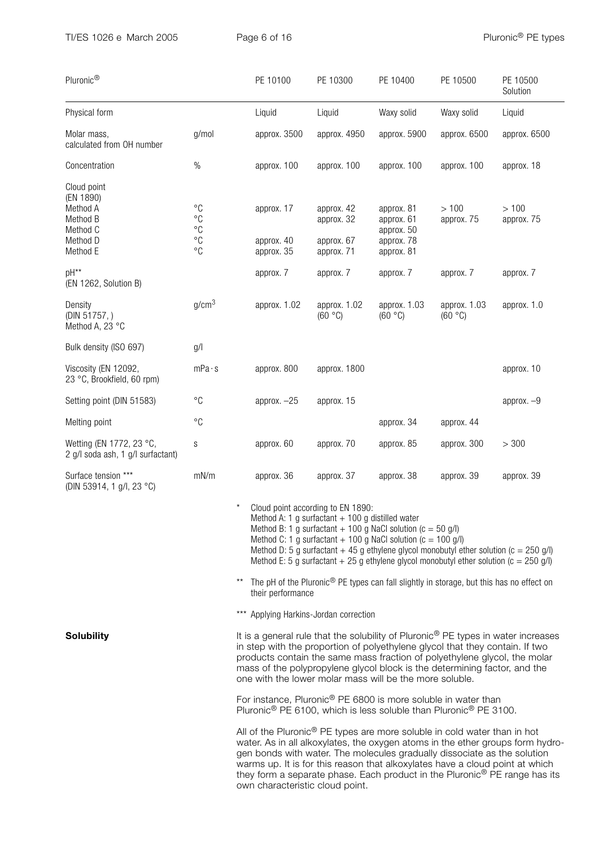| Pluronic®                                                                            |                                                                                     | PE 10100                                                                                                                                                                                                                                                                                                                                                                                                           | PE 10300                                             | PE 10400                                                           | PE 10500                | PE 10500<br>Solution |  |  |
|--------------------------------------------------------------------------------------|-------------------------------------------------------------------------------------|--------------------------------------------------------------------------------------------------------------------------------------------------------------------------------------------------------------------------------------------------------------------------------------------------------------------------------------------------------------------------------------------------------------------|------------------------------------------------------|--------------------------------------------------------------------|-------------------------|----------------------|--|--|
| Physical form                                                                        |                                                                                     | Liquid                                                                                                                                                                                                                                                                                                                                                                                                             | Liquid                                               | Waxy solid                                                         | Waxy solid              | Liquid               |  |  |
| Molar mass,<br>calculated from OH number                                             | g/mol                                                                               | approx. 3500                                                                                                                                                                                                                                                                                                                                                                                                       | approx. 4950                                         | approx. 5900                                                       | approx. 6500            | approx. 6500         |  |  |
| Concentration                                                                        | $\%$                                                                                | approx. 100                                                                                                                                                                                                                                                                                                                                                                                                        | approx. 100                                          | approx. 100                                                        | approx. 100             | approx. 18           |  |  |
| Cloud point<br>(EN 1890)<br>Method A<br>Method B<br>Method C<br>Method D<br>Method E | $^{\circ}C$<br>$^{\circ}{\rm C}$<br>$^{\circ}{\rm C}$<br>$^{\circ}C$<br>$^{\circ}C$ | approx. 17<br>approx. 40<br>approx. 35                                                                                                                                                                                                                                                                                                                                                                             | approx. 42<br>approx. 32<br>approx. 67<br>approx. 71 | approx. 81<br>approx. 61<br>approx. 50<br>approx. 78<br>approx. 81 | >100<br>approx. 75      | >100<br>approx. 75   |  |  |
| pH**<br>(EN 1262, Solution B)                                                        |                                                                                     | approx. 7                                                                                                                                                                                                                                                                                                                                                                                                          | approx. 7                                            | approx. 7                                                          | approx. 7               | approx. 7            |  |  |
| Density<br>(DIN 51757,)<br>Method A, 23 °C                                           | g/cm <sup>3</sup>                                                                   | approx. 1.02                                                                                                                                                                                                                                                                                                                                                                                                       | approx. 1.02<br>(60 °C)                              | approx. 1.03<br>(60 °C)                                            | approx. 1.03<br>(60 °C) | approx. 1.0          |  |  |
| Bulk density (ISO 697)                                                               | g/                                                                                  |                                                                                                                                                                                                                                                                                                                                                                                                                    |                                                      |                                                                    |                         |                      |  |  |
| Viscosity (EN 12092,<br>23 °C, Brookfield, 60 rpm)                                   | mPa·s                                                                               | approx. 800                                                                                                                                                                                                                                                                                                                                                                                                        | approx. 1800                                         |                                                                    |                         | approx. 10           |  |  |
| Setting point (DIN 51583)                                                            | $^{\circ}C$                                                                         | approx. $-25$                                                                                                                                                                                                                                                                                                                                                                                                      | approx. 15                                           |                                                                    |                         | approx. $-9$         |  |  |
| Melting point                                                                        | $^{\circ}C$                                                                         |                                                                                                                                                                                                                                                                                                                                                                                                                    |                                                      | approx. 34                                                         | approx. 44              |                      |  |  |
| Wetting (EN 1772, 23 °C,<br>2 g/l soda ash, 1 g/l surfactant)                        | S                                                                                   | approx. 60                                                                                                                                                                                                                                                                                                                                                                                                         | approx. 70                                           | approx. 85                                                         | approx. 300             | > 300                |  |  |
| Surface tension ***<br>(DIN 53914, 1 g/l, 23 °C)                                     | mN/m                                                                                | approx. 36                                                                                                                                                                                                                                                                                                                                                                                                         | approx. 37                                           | approx. 38                                                         | approx. 39              | approx. 39           |  |  |
|                                                                                      |                                                                                     | Cloud point according to EN 1890:<br>Method A: 1 g surfactant $+$ 100 g distilled water<br>Method B: 1 g surfactant $+$ 100 g NaCl solution (c = 50 g/l)<br>Method C: 1 g surfactant $+$ 100 g NaCl solution (c = 100 g/l)<br>Method D: 5 g surfactant $+ 45$ g ethylene glycol monobutyl ether solution (c = 250 g/l)<br>Method E: 5 g surfactant $+ 25$ g ethylene glycol monobutyl ether solution (c = 250 g/l) |                                                      |                                                                    |                         |                      |  |  |
|                                                                                      |                                                                                     | The pH of the Pluronic® PE types can fall slightly in storage, but this has no effect on<br>their performance                                                                                                                                                                                                                                                                                                      |                                                      |                                                                    |                         |                      |  |  |
|                                                                                      |                                                                                     | *** Applying Harkins-Jordan correction                                                                                                                                                                                                                                                                                                                                                                             |                                                      |                                                                    |                         |                      |  |  |
| <b>Solubility</b>                                                                    |                                                                                     | It is a general rule that the solubility of Pluronic <sup>®</sup> PE types in water increases<br>in step with the proportion of polyethylene glycol that they contain. If two<br>products contain the same mass fraction of polyethylene glycol, the molar<br>mass of the polypropylene glycol block is the determining factor, and the<br>one with the lower molar mass will be the more soluble.                 |                                                      |                                                                    |                         |                      |  |  |
|                                                                                      |                                                                                     | For instance $Plu$ ronic $\degree$ PF 6800 is more soluble in water than                                                                                                                                                                                                                                                                                                                                           |                                                      |                                                                    |                         |                      |  |  |

 $\mathop{\rm Re}\nolimits$  Pluronic $^\text{\tiny (8)}$  PE 6800 is more soluble in w Pluronic® PE 6100, which is less soluble than Pluronic® PE 3100.

 All of the Pluronic® PE types are more soluble in cold water than in hot water. As in all alkoxylates, the oxygen atoms in the ether groups form hydrogen bonds with water. The molecules gradually dissociate as the solution warms up. It is for this reason that alkoxylates have a cloud point at which they form a separate phase. Each product in the Pluronic<sup>®</sup> PE range has its own characteristic cloud point.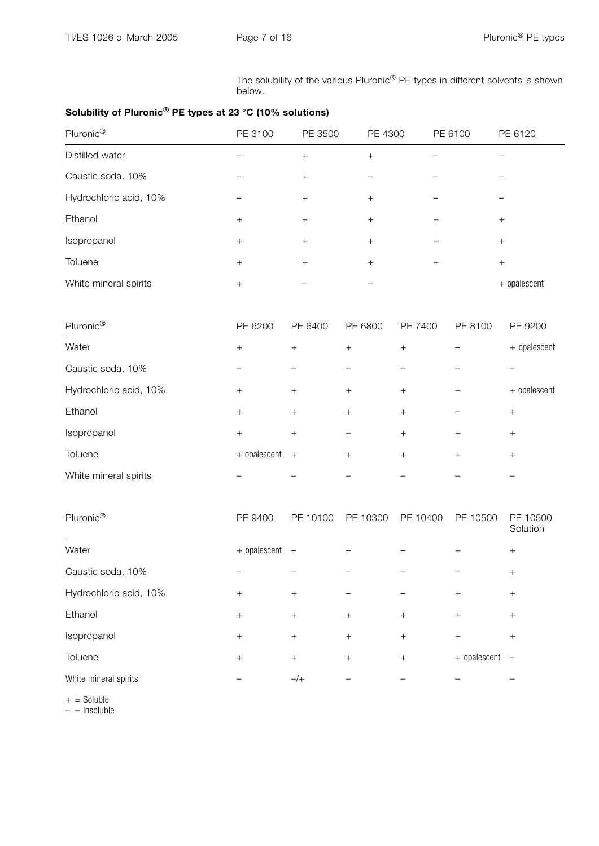The solubility of the various Pluronic® PE types in different solvents is shown below.

## Solubility of Pluronic® PE types at 23 °C (10% solutions)

| Pluronic <sup>®</sup>  | PE 3100 | PE 3500 | PE 4300 | PE 6100 | PE 6120      |
|------------------------|---------|---------|---------|---------|--------------|
| Distilled water        |         | $+$     | $+$     |         |              |
| Caustic soda, 10%      |         | $^{+}$  |         |         |              |
| Hydrochloric acid, 10% |         | $+$     | $+$     |         |              |
| Ethanol                | $^{+}$  | $+$     | $^{+}$  | $^{+}$  | $^{+}$       |
| Isopropanol            | $^{+}$  | $+$     | $+$     | $+$     | $^{+}$       |
| Toluene                | $^{+}$  | $+$     | $+$     | $^{+}$  | $^{+}$       |
| White mineral spirits  | $^{+}$  |         |         |         | + opalescent |

| Pluronic <sup>®</sup>  | PE 6200      | PE 6400 | PE 6800 | PE 7400 | PE 8100 | PE 9200      |
|------------------------|--------------|---------|---------|---------|---------|--------------|
| Water                  | $^{+}$       | $+$     | $+$     | $+$     |         | + opalescent |
| Caustic soda, 10%      |              |         |         |         |         |              |
| Hydrochloric acid, 10% | $+$          | $+$     | $+$     | $+$     |         | + opalescent |
| Ethanol                | $+$          | $+$     | $+$     | $+$     |         | $+$          |
| Isopropanol            | $^{+}$       | $+$     |         | $+$     | $^{+}$  | $+$          |
| Toluene                | + opalescent | $+$     | $+$     | $+$     | $^{+}$  | $+$          |
| White mineral spirits  |              |         |         |         |         |              |

| Pluronic <sup>®</sup>  | PE 9400      | PE 10100                 | PE 10300 | PE 10400 | PE 10500     | PE 10500<br>Solution     |
|------------------------|--------------|--------------------------|----------|----------|--------------|--------------------------|
| Water                  | + opalescent | $\overline{\phantom{m}}$ |          |          | $^{+}$       | $+$                      |
| Caustic soda, 10%      |              |                          |          |          |              | $+$                      |
| Hydrochloric acid, 10% | $^{+}$       | $+$                      |          |          | $+$          | $+$                      |
| Ethanol                | $+$          | $+$                      | $+$      | $+$      | $^{+}$       | $+$                      |
| Isopropanol            | $^{+}$       | $+$                      | $+$      | $^{+}$   | $^{+}$       | $+$                      |
| Toluene                | $^{+}$       | $^{+}$                   | $+$      | $+$      | + opalescent | $\overline{\phantom{0}}$ |
| White mineral spirits  |              | $-$ /+                   |          |          |              |                          |

 $+$  = Soluble

 $-$  = Insoluble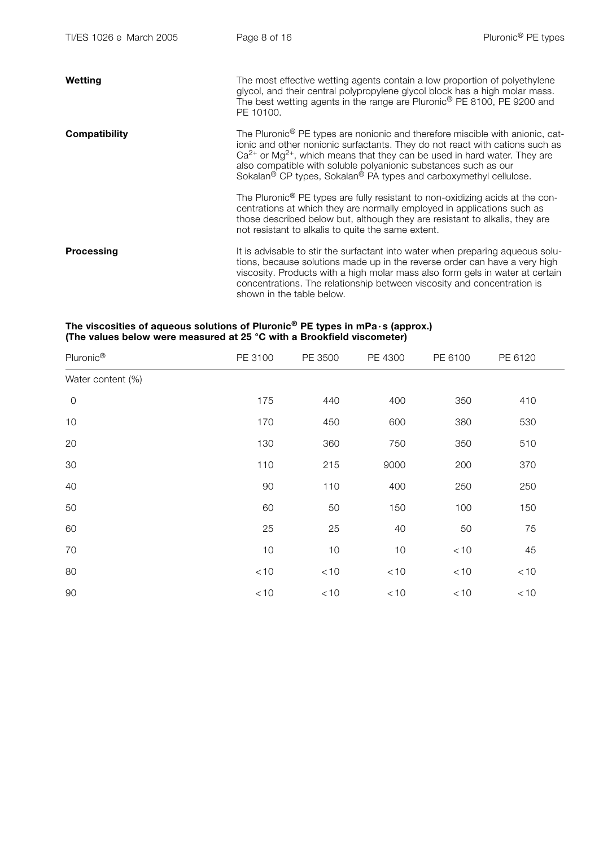| Wetting              | The most effective wetting agents contain a low proportion of polyethylene<br>glycol, and their central polypropylene glycol block has a high molar mass.<br>The best wetting agents in the range are Pluronic <sup>®</sup> PE 8100, PE 9200 and<br>PE 10100.                                                                                                                                                                          |
|----------------------|----------------------------------------------------------------------------------------------------------------------------------------------------------------------------------------------------------------------------------------------------------------------------------------------------------------------------------------------------------------------------------------------------------------------------------------|
| <b>Compatibility</b> | The Pluronic <sup>®</sup> PE types are nonionic and therefore miscible with anionic, cat-<br>ionic and other nonionic surfactants. They do not react with cations such as<br>$Ca^{2+}$ or Mg <sup>2+</sup> , which means that they can be used in hard water. They are<br>also compatible with soluble polyanionic substances such as our<br>Sokalan <sup>®</sup> CP types, Sokalan <sup>®</sup> PA types and carboxymethyl cellulose. |
|                      | The Pluronic <sup>®</sup> PE types are fully resistant to non-oxidizing acids at the con-<br>centrations at which they are normally employed in applications such as<br>those described below but, although they are resistant to alkalis, they are<br>not resistant to alkalis to quite the same extent.                                                                                                                              |
| Processing           | It is advisable to stir the surfactant into water when preparing aqueous solu-<br>tions, because solutions made up in the reverse order can have a very high<br>viscosity. Products with a high molar mass also form gels in water at certain<br>concentrations. The relationship between viscosity and concentration is<br>shown in the table below.                                                                                  |

#### The viscosities of aqueous solutions of Pluronic® PE types in mPa $\cdot$ s (approx.) (The values below were measured at 25 °C with a Brookfield viscometer)

| Pluronic®         | PE 3100 | PE 3500 | PE 4300 | PE 6100 | PE 6120 |
|-------------------|---------|---------|---------|---------|---------|
| Water content (%) |         |         |         |         |         |
| $\mathbf 0$       | 175     | 440     | 400     | 350     | 410     |
| 10                | 170     | 450     | 600     | 380     | 530     |
| 20                | 130     | 360     | 750     | 350     | 510     |
| 30                | 110     | 215     | 9000    | 200     | 370     |
| 40                | 90      | 110     | 400     | 250     | 250     |
| 50                | 60      | 50      | 150     | 100     | 150     |
| 60                | 25      | 25      | 40      | 50      | 75      |
| 70                | 10      | 10      | $10$    | $<10$   | 45      |
| 80                | $<10$   | $<10$   | $<10$   | $<10$   | $<10$   |
| 90                | $<10$   | $<10$   | $<10$   | < 10    | $<10$   |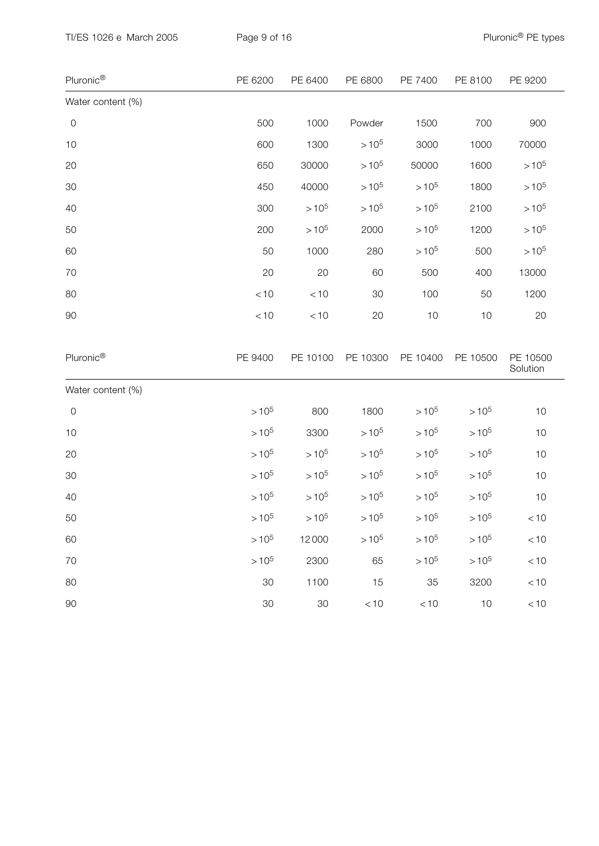| Pluronic <sup>®</sup> | PE 6200   | PE 6400   | PE 6800   | PE 7400   | PE 8100   | PE 9200              |
|-----------------------|-----------|-----------|-----------|-----------|-----------|----------------------|
| Water content (%)     |           |           |           |           |           |                      |
| $\mathbf 0$           | 500       | 1000      | Powder    | 1500      | 700       | 900                  |
| 10                    | 600       | 1300      | $>10^{5}$ | 3000      | 1000      | 70000                |
| 20                    | 650       | 30000     | $>10^{5}$ | 50000     | 1600      | $>10^{5}$            |
| 30                    | 450       | 40000     | $>10^{5}$ | $>10^{5}$ | 1800      | $>10^{5}$            |
| 40                    | 300       | $>10^{5}$ | $>10^{5}$ | $>10^{5}$ | 2100      | $>10^{5}$            |
| 50                    | 200       | $>10^{5}$ | 2000      | $>10^{5}$ | 1200      | $>10^{5}$            |
| 60                    | 50        | 1000      | 280       | $>10^{5}$ | 500       | $>10^{5}$            |
| 70                    | 20        | 20        | 60        | 500       | 400       | 13000                |
| 80                    | $<10$     | < 10      | 30        | 100       | 50        | 1200                 |
| 90                    | $<10$     | < 10      | 20        | 10        | 10        | 20                   |
| Pluronic®             | PE 9400   | PE 10100  | PE 10300  | PE 10400  | PE 10500  | PE 10500<br>Solution |
| Water content (%)     |           |           |           |           |           |                      |
| $\mathsf{O}$          | $>10^{5}$ | 800       | 1800      | $>10^{5}$ | $>10^{5}$ | 10                   |
| 10                    | $>10^{5}$ | 3300      | $>10^{5}$ | $>10^{5}$ | $>10^{5}$ | 10                   |
| 20                    | $>10^{5}$ | $>10^{5}$ | $>10^{5}$ | $>10^{5}$ | $>10^{5}$ | 10                   |
| 30                    | $>10^{5}$ | $>10^{5}$ | $>10^{5}$ | $>10^{5}$ | $>10^{5}$ | 10                   |
| 40                    | $>10^{5}$ | $>10^{5}$ | $>10^{5}$ | $>10^{5}$ | $>10^{5}$ | $10$                 |
| 50                    | $>10^{5}$ | $>10^{5}$ | $>10^{5}$ | $>10^{5}$ | $>10^{5}$ | $<10$                |
| 60                    | $>10^{5}$ | 12000     | $>10^{5}$ | $>10^{5}$ | $>10^{5}$ | $<10$                |
| 70                    | $>10^{5}$ | 2300      | 65        | $>10^{5}$ | $>10^{5}$ | < 10                 |
| 80                    | 30        | 1100      | 15        | 35        | 3200      | $<10$                |
| 90                    | 30        | 30        | $<10$     | $<10$     | 10        | $<10$                |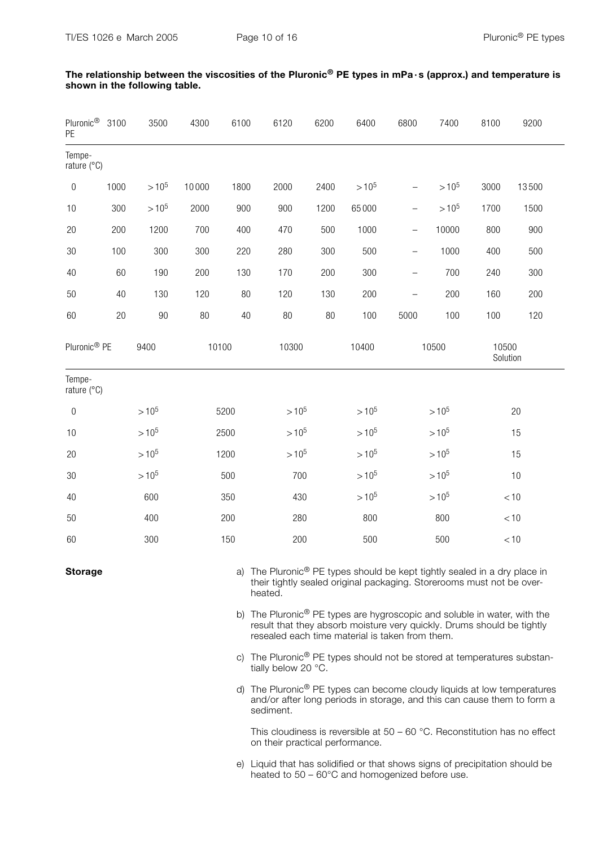| Pluronic <sup>®</sup> 3100<br>PE |            | 3500      | 4300  | 6100 | 6120      | 6200   | 6400      | 6800                     | 7400      | 8100              | 9200  |
|----------------------------------|------------|-----------|-------|------|-----------|--------|-----------|--------------------------|-----------|-------------------|-------|
| Tempe-<br>rature (°C)            |            |           |       |      |           |        |           |                          |           |                   |       |
| $\boldsymbol{0}$                 | 1000       | $>10^{5}$ | 10000 | 1800 | 2000      | 2400   | $>10^{5}$ | $\overline{\phantom{0}}$ | $>10^{5}$ | 3000              | 13500 |
| 10                               | 300        | $>10^{5}$ | 2000  | 900  | 900       | 1200   | 65000     | $\overline{\phantom{0}}$ | $>10^{5}$ | 1700              | 1500  |
| 20                               | 200        | 1200      | 700   | 400  | 470       | 500    | 1000      | $\qquad \qquad -$        | 10000     | 800               | 900   |
| 30                               | 100        | 300       | 300   | 220  | 280       | 300    | 500       | $\qquad \qquad -$        | 1000      | 400               | 500   |
| 40                               | 60         | 190       | 200   | 130  | 170       | 200    | 300       | $\overline{\phantom{0}}$ | 700       | 240               | 300   |
| 50                               | 40         | 130       | 120   | 80   | 120       | 130    | 200       | $\qquad \qquad -$        | 200       | 160               | 200   |
| 60                               | 20         | 90        | 80    | 40   | $80\,$    | $80\,$ | 100       | 5000                     | 100       | 100               | 120   |
| Pluronic <sup>®</sup> PE         |            | 9400      | 10100 |      | 10300     |        | 10400     | 10500                    |           | 10500<br>Solution |       |
| Tempe-<br>rature (°C)            |            |           |       |      |           |        |           |                          |           |                   |       |
| $\boldsymbol{0}$                 | $>10^{5}$  |           | 5200  |      | $>10^{5}$ |        | $>10^{5}$ | $>10^{5}$                |           | 20                |       |
| 10                               | $>10^{5}$  |           | 2500  |      | $>10^{5}$ |        | $>10^{5}$ | $>10^{5}$                |           | 15                |       |
| 20                               | $>10^{5}$  |           | 1200  |      | $>10^{5}$ |        | $>10^{5}$ | $>10^{5}$                |           | 15                |       |
| 30                               |            | $>10^{5}$ |       | 500  | 700       |        | $>10^{5}$ |                          | $>10^{5}$ |                   | 10    |
| 40                               |            | 600       |       | 350  | 430       |        | $>10^{5}$ |                          | $>10^{5}$ |                   | < 10  |
| 50                               | 400<br>200 |           | 280   |      | 800       | 800    |           | < 10                     |           |                   |       |
| 60                               | 300<br>150 |           | 200   |      | 500       | 500    |           | $<10$                    |           |                   |       |

The relationship between the viscosities of the Pluronic<sup>®</sup> PE types in mPa · s (approx.) and temperature is shown in the following table.

**Storage** a) The Pluronic<sup>®</sup> PE types should be kept tightly sealed in a dry place in their tightly sealed original packaging. Storerooms must not be overheated.

> b) The Pluronic<sup>®</sup> PE types are hygroscopic and soluble in water, with the result that they absorb moisture very quickly. Drums should be tightly resealed each time material is taken from them.

c) The Pluronic<sup>®</sup> PE types should not be stored at temperatures substantially below 20 °C.

d) The Pluronic® PE types can become cloudy liquids at low temperatures and/or after long periods in storage, and this can cause them to form a sediment.

 This cloudiness is reversible at 50 – 60 °C. Reconstitution has no effect on their practical performance.

e) Liquid that has solidified or that shows signs of precipitation should be heated to 50 – 60°C and homogenized before use.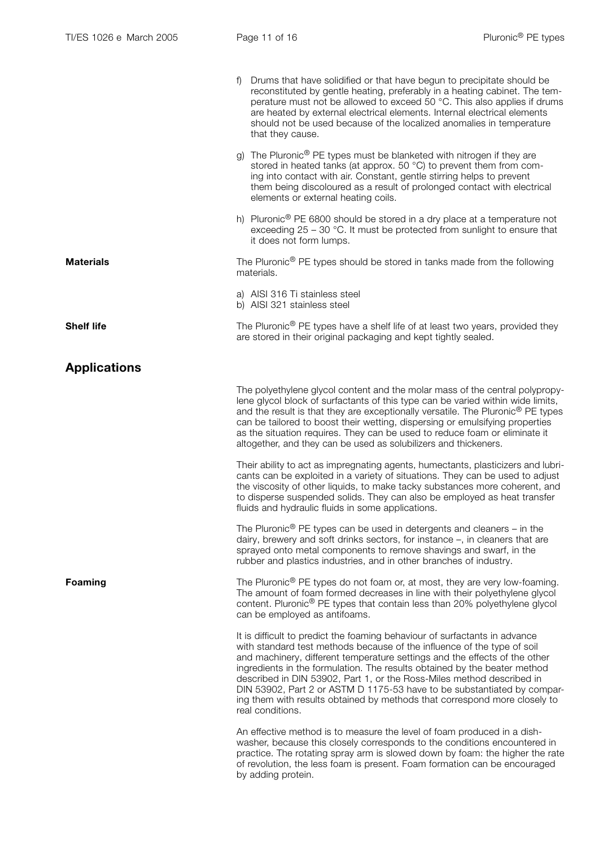|                     | Drums that have solidified or that have begun to precipitate should be<br>$\ddagger$<br>reconstituted by gentle heating, preferably in a heating cabinet. The tem-<br>perature must not be allowed to exceed 50 °C. This also applies if drums<br>are heated by external electrical elements. Internal electrical elements<br>should not be used because of the localized anomalies in temperature<br>that they cause.                                                                                                                                                |
|---------------------|-----------------------------------------------------------------------------------------------------------------------------------------------------------------------------------------------------------------------------------------------------------------------------------------------------------------------------------------------------------------------------------------------------------------------------------------------------------------------------------------------------------------------------------------------------------------------|
|                     | The Pluronic <sup>®</sup> PE types must be blanketed with nitrogen if they are<br>stored in heated tanks (at approx. 50 °C) to prevent them from com-<br>ing into contact with air. Constant, gentle stirring helps to prevent<br>them being discoloured as a result of prolonged contact with electrical<br>elements or external heating coils.                                                                                                                                                                                                                      |
|                     | h) Pluronic <sup>®</sup> PE 6800 should be stored in a dry place at a temperature not<br>exceeding $25 - 30$ °C. It must be protected from sunlight to ensure that<br>it does not form lumps.                                                                                                                                                                                                                                                                                                                                                                         |
| <b>Materials</b>    | The Pluronic <sup>®</sup> PE types should be stored in tanks made from the following<br>materials.                                                                                                                                                                                                                                                                                                                                                                                                                                                                    |
|                     | a) AISI 316 Ti stainless steel<br>b) AISI 321 stainless steel                                                                                                                                                                                                                                                                                                                                                                                                                                                                                                         |
| <b>Shelf life</b>   | The Pluronic <sup>®</sup> PE types have a shelf life of at least two years, provided they<br>are stored in their original packaging and kept tightly sealed.                                                                                                                                                                                                                                                                                                                                                                                                          |
| <b>Applications</b> |                                                                                                                                                                                                                                                                                                                                                                                                                                                                                                                                                                       |
|                     | The polyethylene glycol content and the molar mass of the central polypropy-<br>lene glycol block of surfactants of this type can be varied within wide limits,<br>and the result is that they are exceptionally versatile. The Pluronic <sup>®</sup> PE types<br>can be tailored to boost their wetting, dispersing or emulsifying properties<br>as the situation requires. They can be used to reduce foam or eliminate it<br>altogether, and they can be used as solubilizers and thickeners.                                                                      |
|                     | Their ability to act as impregnating agents, humectants, plasticizers and lubri-<br>cants can be exploited in a variety of situations. They can be used to adjust<br>the viscosity of other liquids, to make tacky substances more coherent, and<br>to disperse suspended solids. They can also be employed as heat transfer<br>fluids and hydraulic fluids in some applications.                                                                                                                                                                                     |
|                     | The Pluronic <sup>®</sup> PE types can be used in detergents and cleaners – in the<br>dairy, brewery and soft drinks sectors, for instance -, in cleaners that are<br>sprayed onto metal components to remove shavings and swarf, in the<br>rubber and plastics industries, and in other branches of industry.                                                                                                                                                                                                                                                        |
| Foaming             | The Pluronic <sup>®</sup> PE types do not foam or, at most, they are very low-foaming.<br>The amount of foam formed decreases in line with their polyethylene glycol<br>content. Pluronic <sup>®</sup> PE types that contain less than 20% polyethylene glycol<br>can be employed as antifoams.                                                                                                                                                                                                                                                                       |
|                     | It is difficult to predict the foaming behaviour of surfactants in advance<br>with standard test methods because of the influence of the type of soil<br>and machinery, different temperature settings and the effects of the other<br>ingredients in the formulation. The results obtained by the beater method<br>described in DIN 53902, Part 1, or the Ross-Miles method described in<br>DIN 53902, Part 2 or ASTM D 1175-53 have to be substantiated by compar-<br>ing them with results obtained by methods that correspond more closely to<br>real conditions. |
|                     | An effective method is to measure the level of foam produced in a dish-<br>washer, because this closely corresponds to the conditions encountered in<br>practice. The rotating spray arm is slowed down by foam: the higher the rate<br>of revolution, the less foam is present. Foam formation can be encouraged<br>by adding protein.                                                                                                                                                                                                                               |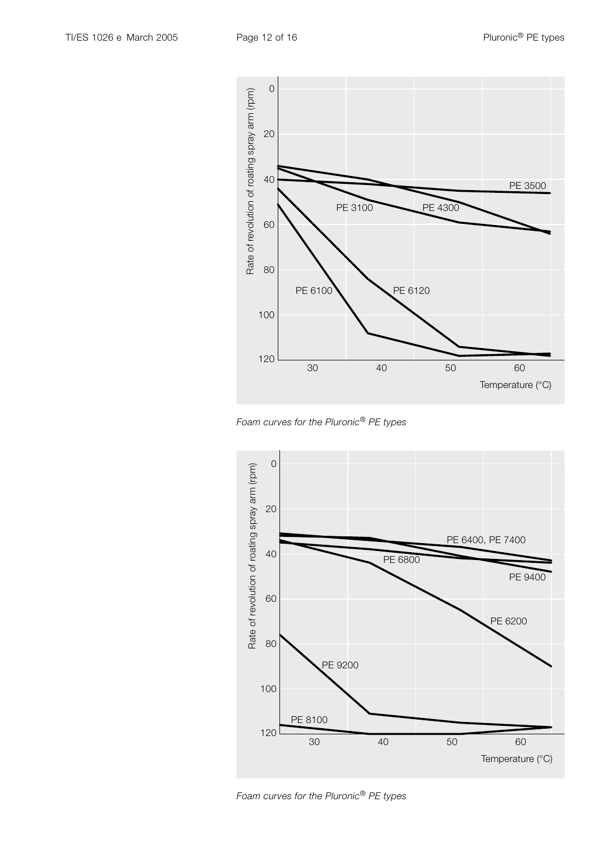





Foam curves for the Pluronic® PE types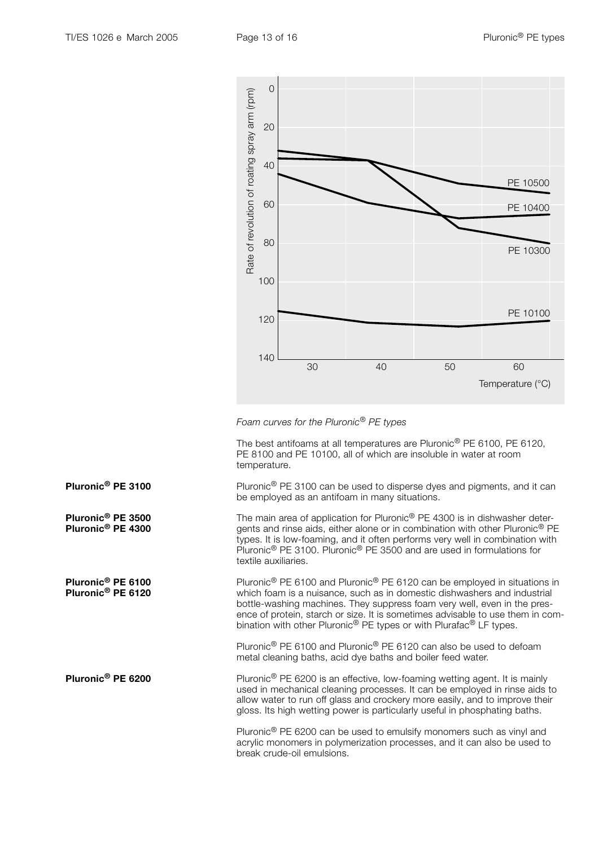

Foam curves for the Pluronic® PE types

 The best antifoams at all temperatures are Pluronic® PE 6100, PE 6120, PE 8100 and PE 10100, all of which are insoluble in water at room temperature.

**Pluronic<sup>®</sup> PE 3100** Pluronic<sup>®</sup> PE 3100 can be used to disperse dyes and pigments, and it can be employed as an antifoam in many situations.

**Pluronic<sup>®</sup> PE 3500** The main area of application for Pluronic<sup>®</sup> PE 4300 is in dishwasher deter-<br>**Pluronic<sup>®</sup> PE 4300** gents and rinse aids, either alone or in combination with other Pluronic<sup>®</sup> PE gents and rinse aids, either alone or in combination with other Pluronic<sup>®</sup> PE types. It is low-foaming, and it often performs very well in combination with Pluronic® PE 3100. Pluronic® PE 3500 and are used in formulations for textile auxiliaries.

**Pluronic<sup>®</sup> PE 6100** Pluronic<sup>®</sup> PE 6100 and Pluronic<sup>®</sup> PE 6120 can be employed in situations in<br>**Pluronic<sup>®</sup> PE 6120** which foam is a nuisance, such as in domestic dishwashers and industrial which foam is a nuisance, such as in domestic dishwashers and industrial bottle-washing machines. They suppress foam very well, even in the presence of protein, starch or size. It is sometimes advisable to use them in combination with other Pluronic<sup>®</sup> PE types or with Plurafac<sup>®</sup> LF types.

> Pluronic® PE 6100 and Pluronic® PE 6120 can also be used to defoam metal cleaning baths, acid dye baths and boiler feed water.

**Pluronic<sup>®</sup> PE 6200** Pluronic<sup>®</sup> PE 6200 is an effective, low-foaming wetting agent. It is mainly used in mechanical cleaning processes. It can be employed in rinse aids to allow water to run off glass and crockery more easily, and to improve their gloss. Its high wetting power is particularly useful in phosphating baths.

> Pluronic® PE 6200 can be used to emulsify monomers such as vinyl and acrylic monomers in polymerization processes, and it can also be used to break crude-oil emulsions.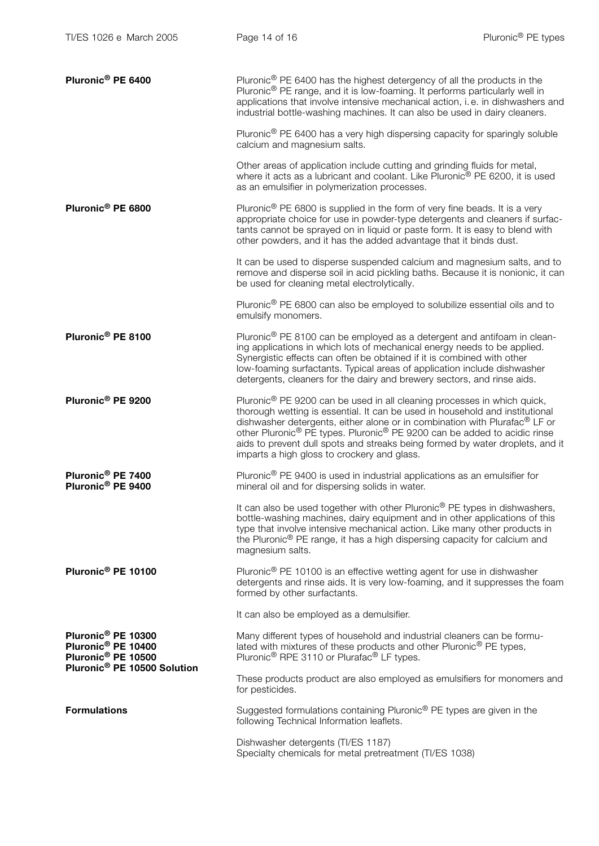| Pluronic <sup>®</sup> PE 6400                                                                                                                 | Pluronic <sup>®</sup> PE 6400 has the highest detergency of all the products in the<br>Pluronic <sup>®</sup> PE range, and it is low-foaming. It performs particularly well in<br>applications that involve intensive mechanical action, i.e. in dishwashers and<br>industrial bottle-washing machines. It can also be used in dairy cleaners.                                                                                                                                        |
|-----------------------------------------------------------------------------------------------------------------------------------------------|---------------------------------------------------------------------------------------------------------------------------------------------------------------------------------------------------------------------------------------------------------------------------------------------------------------------------------------------------------------------------------------------------------------------------------------------------------------------------------------|
|                                                                                                                                               | Pluronic <sup>®</sup> PE 6400 has a very high dispersing capacity for sparingly soluble<br>calcium and magnesium salts.                                                                                                                                                                                                                                                                                                                                                               |
|                                                                                                                                               | Other areas of application include cutting and grinding fluids for metal,<br>where it acts as a lubricant and coolant. Like Pluronic <sup>®</sup> PE 6200, it is used<br>as an emulsifier in polymerization processes.                                                                                                                                                                                                                                                                |
| Pluronic <sup>®</sup> PE 6800                                                                                                                 | Pluronic <sup>®</sup> PE 6800 is supplied in the form of very fine beads. It is a very<br>appropriate choice for use in powder-type detergents and cleaners if surfac-<br>tants cannot be sprayed on in liquid or paste form. It is easy to blend with<br>other powders, and it has the added advantage that it binds dust.                                                                                                                                                           |
|                                                                                                                                               | It can be used to disperse suspended calcium and magnesium salts, and to<br>remove and disperse soil in acid pickling baths. Because it is nonionic, it can<br>be used for cleaning metal electrolytically.                                                                                                                                                                                                                                                                           |
|                                                                                                                                               | Pluronic <sup>®</sup> PE 6800 can also be employed to solubilize essential oils and to<br>emulsify monomers.                                                                                                                                                                                                                                                                                                                                                                          |
| Pluronic <sup>®</sup> PE 8100                                                                                                                 | Pluronic <sup>®</sup> PE 8100 can be employed as a detergent and antifoam in clean-<br>ing applications in which lots of mechanical energy needs to be applied.<br>Synergistic effects can often be obtained if it is combined with other<br>low-foaming surfactants. Typical areas of application include dishwasher<br>detergents, cleaners for the dairy and brewery sectors, and rinse aids.                                                                                      |
| Pluronic <sup>®</sup> PE 9200                                                                                                                 | Pluronic <sup>®</sup> PE 9200 can be used in all cleaning processes in which quick,<br>thorough wetting is essential. It can be used in household and institutional<br>dishwasher detergents, either alone or in combination with Plurafac® LF or<br>other Pluronic <sup>®</sup> PE types. Pluronic <sup>®</sup> PE 9200 can be added to acidic rinse<br>aids to prevent dull spots and streaks being formed by water droplets, and it<br>imparts a high gloss to crockery and glass. |
| Pluronic <sup>®</sup> PE 7400<br>Pluronic <sup>®</sup> PE 9400                                                                                | Pluronic <sup>®</sup> PE 9400 is used in industrial applications as an emulsifier for<br>mineral oil and for dispersing solids in water.                                                                                                                                                                                                                                                                                                                                              |
|                                                                                                                                               | It can also be used together with other Pluronic <sup>®</sup> PE types in dishwashers,<br>bottle-washing machines, dairy equipment and in other applications of this<br>type that involve intensive mechanical action. Like many other products in<br>the Pluronic® PE range, it has a high dispersing capacity for calcium and<br>magnesium salts.                                                                                                                                   |
| Pluronic <sup>®</sup> PE 10100                                                                                                                | Pluronic <sup>®</sup> PE 10100 is an effective wetting agent for use in dishwasher<br>detergents and rinse aids. It is very low-foaming, and it suppresses the foam<br>formed by other surfactants.                                                                                                                                                                                                                                                                                   |
|                                                                                                                                               | It can also be employed as a demulsifier.                                                                                                                                                                                                                                                                                                                                                                                                                                             |
| Pluronic <sup>®</sup> PE 10300<br>Pluronic <sup>®</sup> PE 10400<br>Pluronic <sup>®</sup> PE 10500<br>Pluronic <sup>®</sup> PE 10500 Solution | Many different types of household and industrial cleaners can be formu-<br>lated with mixtures of these products and other Pluronic <sup>®</sup> PE types,<br>Pluronic <sup>®</sup> RPE 3110 or Plurafac <sup>®</sup> LF types.                                                                                                                                                                                                                                                       |
|                                                                                                                                               | These products product are also employed as emulsifiers for monomers and<br>for pesticides.                                                                                                                                                                                                                                                                                                                                                                                           |
| <b>Formulations</b>                                                                                                                           | Suggested formulations containing Pluronic <sup>®</sup> PE types are given in the<br>following Technical Information leaflets.                                                                                                                                                                                                                                                                                                                                                        |
|                                                                                                                                               | Dishwasher detergents (TI/ES 1187)<br>Specialty chemicals for metal pretreatment (TI/ES 1038)                                                                                                                                                                                                                                                                                                                                                                                         |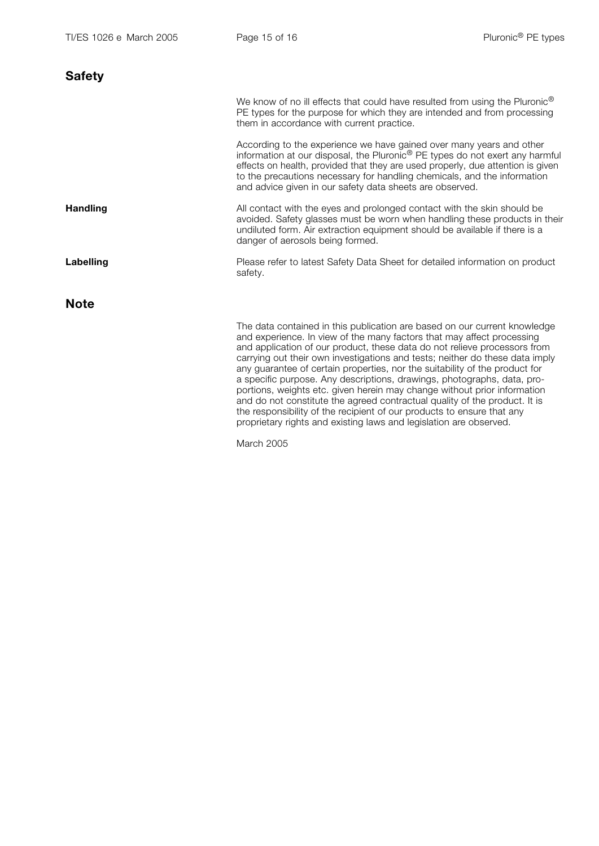| <b>Safety</b>   |                                                                                                                                                                                                                                                                                                                                                                                                                                                                                                                                                                                                                                                                                                                                                                                      |
|-----------------|--------------------------------------------------------------------------------------------------------------------------------------------------------------------------------------------------------------------------------------------------------------------------------------------------------------------------------------------------------------------------------------------------------------------------------------------------------------------------------------------------------------------------------------------------------------------------------------------------------------------------------------------------------------------------------------------------------------------------------------------------------------------------------------|
|                 | We know of no ill effects that could have resulted from using the Pluronic <sup>®</sup><br>PE types for the purpose for which they are intended and from processing<br>them in accordance with current practice.                                                                                                                                                                                                                                                                                                                                                                                                                                                                                                                                                                     |
|                 | According to the experience we have gained over many years and other<br>information at our disposal, the Pluronic <sup>®</sup> PE types do not exert any harmful<br>effects on health, provided that they are used properly, due attention is given<br>to the precautions necessary for handling chemicals, and the information<br>and advice given in our safety data sheets are observed.                                                                                                                                                                                                                                                                                                                                                                                          |
| <b>Handling</b> | All contact with the eyes and prolonged contact with the skin should be<br>avoided. Safety glasses must be worn when handling these products in their<br>undiluted form. Air extraction equipment should be available if there is a<br>danger of aerosols being formed.                                                                                                                                                                                                                                                                                                                                                                                                                                                                                                              |
| Labelling       | Please refer to latest Safety Data Sheet for detailed information on product<br>safety.                                                                                                                                                                                                                                                                                                                                                                                                                                                                                                                                                                                                                                                                                              |
| <b>Note</b>     |                                                                                                                                                                                                                                                                                                                                                                                                                                                                                                                                                                                                                                                                                                                                                                                      |
|                 | The data contained in this publication are based on our current knowledge<br>and experience. In view of the many factors that may affect processing<br>and application of our product, these data do not relieve processors from<br>carrying out their own investigations and tests; neither do these data imply<br>any guarantee of certain properties, nor the suitability of the product for<br>a specific purpose. Any descriptions, drawings, photographs, data, pro-<br>portions, weights etc. given herein may change without prior information<br>and do not constitute the agreed contractual quality of the product. It is<br>the responsibility of the recipient of our products to ensure that any<br>proprietary rights and existing laws and legislation are observed. |

March 2005